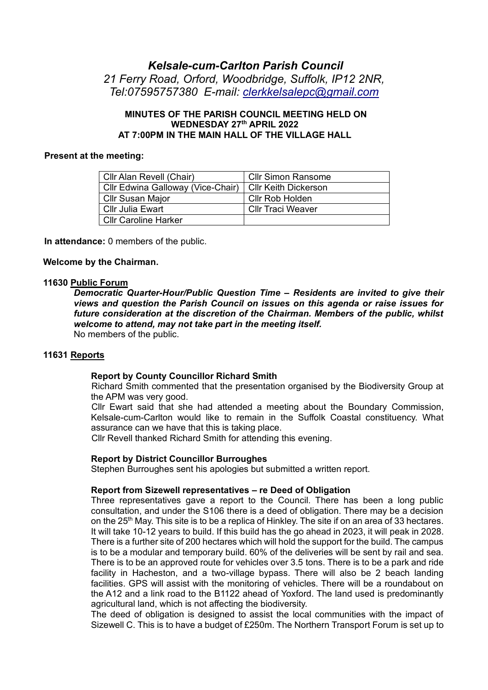# *Kelsale-cum-Carlton Parish Council 21 Ferry Road, Orford, Woodbridge, Suffolk, IP12 2NR, Tel:07595757380 E-mail: [clerkkelsalepc@gmail.com](mailto:clerkkelsalepc@gmail.com)*

## **MINUTES OF THE PARISH COUNCIL MEETING HELD ON WEDNESDAY 27th APRIL 2022 AT 7:00PM IN THE MAIN HALL OF THE VILLAGE HALL**

#### **Present at the meeting:**

| Cllr Alan Revell (Chair)          | <b>Cllr Simon Ransome</b>   |
|-----------------------------------|-----------------------------|
| Cllr Edwina Galloway (Vice-Chair) | <b>Cllr Keith Dickerson</b> |
| <b>Cllr Susan Major</b>           | Cllr Rob Holden             |
| Cllr Julia Ewart                  | <b>CIIr Traci Weaver</b>    |
| <b>Cllr Caroline Harker</b>       |                             |

**In attendance:** 0 members of the public.

#### **Welcome by the Chairman.**

#### **11630 Public Forum**

*Democratic Quarter-Hour/Public Question Time – Residents are invited to give their views and question the Parish Council on issues on this agenda or raise issues for future consideration at the discretion of the Chairman. Members of the public, whilst welcome to attend, may not take part in the meeting itself.*

No members of the public.

# **11631 Reports**

#### **Report by County Councillor Richard Smith**

Richard Smith commented that the presentation organised by the Biodiversity Group at the APM was very good.

Cllr Ewart said that she had attended a meeting about the Boundary Commission, Kelsale-cum-Carlton would like to remain in the Suffolk Coastal constituency. What assurance can we have that this is taking place.

Cllr Revell thanked Richard Smith for attending this evening.

#### **Report by District Councillor Burroughes**

Stephen Burroughes sent his apologies but submitted a written report.

#### **Report from Sizewell representatives – re Deed of Obligation**

Three representatives gave a report to the Council. There has been a long public consultation, and under the S106 there is a deed of obligation. There may be a decision on the 25<sup>th</sup> May. This site is to be a replica of Hinkley. The site if on an area of 33 hectares. It will take 10-12 years to build. If this build has the go ahead in 2023, it will peak in 2028. There is a further site of 200 hectares which will hold the support for the build. The campus is to be a modular and temporary build. 60% of the deliveries will be sent by rail and sea. There is to be an approved route for vehicles over 3.5 tons. There is to be a park and ride facility in Hacheston, and a two-village bypass. There will also be 2 beach landing facilities. GPS will assist with the monitoring of vehicles. There will be a roundabout on the A12 and a link road to the B1122 ahead of Yoxford. The land used is predominantly agricultural land, which is not affecting the biodiversity.

The deed of obligation is designed to assist the local communities with the impact of Sizewell C. This is to have a budget of £250m. The Northern Transport Forum is set up to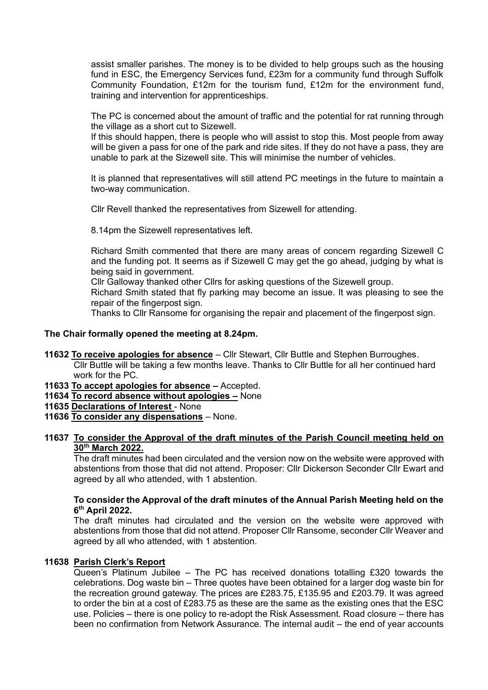assist smaller parishes. The money is to be divided to help groups such as the housing fund in ESC, the Emergency Services fund, £23m for a community fund through Suffolk Community Foundation, £12m for the tourism fund, £12m for the environment fund, training and intervention for apprenticeships.

The PC is concerned about the amount of traffic and the potential for rat running through the village as a short cut to Sizewell.

If this should happen, there is people who will assist to stop this. Most people from away will be given a pass for one of the park and ride sites. If they do not have a pass, they are unable to park at the Sizewell site. This will minimise the number of vehicles.

It is planned that representatives will still attend PC meetings in the future to maintain a two-way communication.

Cllr Revell thanked the representatives from Sizewell for attending.

8.14pm the Sizewell representatives left.

Richard Smith commented that there are many areas of concern regarding Sizewell C and the funding pot. It seems as if Sizewell C may get the go ahead, judging by what is being said in government.

Cllr Galloway thanked other Cllrs for asking questions of the Sizewell group.

Richard Smith stated that fly parking may become an issue. It was pleasing to see the repair of the fingerpost sign.

Thanks to Cllr Ransome for organising the repair and placement of the fingerpost sign.

## **The Chair formally opened the meeting at 8.24pm.**

- **11632 To receive apologies for absence** Cllr Stewart, Cllr Buttle and Stephen Burroughes. Cllr Buttle will be taking a few months leave. Thanks to Cllr Buttle for all her continued hard work for the PC.
- **11633 To accept apologies for absence –** Accepted.
- **11634 To record absence without apologies –** None
- **11635 Declarations of Interest** None
- **11636 To consider any dispensations** None.

## **11637 To consider the Approval of the draft minutes of the Parish Council meeting held on 30th March 2022.**

The draft minutes had been circulated and the version now on the website were approved with abstentions from those that did not attend. Proposer: Cllr Dickerson Seconder Cllr Ewart and agreed by all who attended, with 1 abstention.

## **To consider the Approval of the draft minutes of the Annual Parish Meeting held on the 6 th April 2022.**

The draft minutes had circulated and the version on the website were approved with abstentions from those that did not attend. Proposer Cllr Ransome, seconder Cllr Weaver and agreed by all who attended, with 1 abstention.

## **11638 Parish Clerk's Report**

Queen's Platinum Jubilee – The PC has received donations totalling £320 towards the celebrations. Dog waste bin – Three quotes have been obtained for a larger dog waste bin for the recreation ground gateway. The prices are £283.75, £135.95 and £203.79. It was agreed to order the bin at a cost of £283.75 as these are the same as the existing ones that the ESC use. Policies – there is one policy to re-adopt the Risk Assessment. Road closure – there has been no confirmation from Network Assurance. The internal audit – the end of year accounts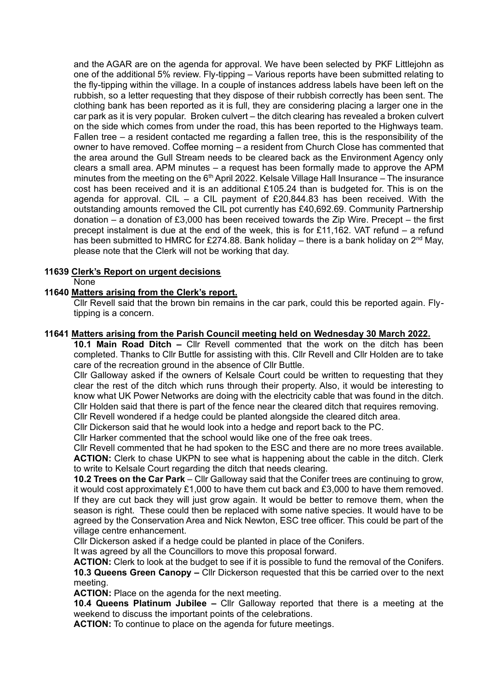and the AGAR are on the agenda for approval. We have been selected by PKF Littlejohn as one of the additional 5% review. Fly-tipping – Various reports have been submitted relating to the fly-tipping within the village. In a couple of instances address labels have been left on the rubbish, so a letter requesting that they dispose of their rubbish correctly has been sent. The clothing bank has been reported as it is full, they are considering placing a larger one in the car park as it is very popular. Broken culvert – the ditch clearing has revealed a broken culvert on the side which comes from under the road, this has been reported to the Highways team. Fallen tree – a resident contacted me regarding a fallen tree, this is the responsibility of the owner to have removed. Coffee morning – a resident from Church Close has commented that the area around the Gull Stream needs to be cleared back as the Environment Agency only clears a small area. APM minutes – a request has been formally made to approve the APM minutes from the meeting on the  $6<sup>th</sup>$  April 2022. Kelsale Village Hall Insurance – The insurance cost has been received and it is an additional £105.24 than is budgeted for. This is on the agenda for approval. CIL – a CIL payment of  $£20,844.83$  has been received. With the outstanding amounts removed the CIL pot currently has £40,692.69. Community Partnership donation – a donation of £3,000 has been received towards the Zip Wire. Precept – the first precept instalment is due at the end of the week, this is for £11,162. VAT refund – a refund has been submitted to HMRC for £274.88. Bank holiday – there is a bank holiday on  $2^{nd}$  May, please note that the Clerk will not be working that day.

## **11639 Clerk's Report on urgent decisions**

None

## **11640 Matters arising from the Clerk's report.**

Cllr Revell said that the brown bin remains in the car park, could this be reported again. Flytipping is a concern.

## **11641 Matters arising from the Parish Council meeting held on Wednesday 30 March 2022.**

**10.1 Main Road Ditch –** Cllr Revell commented that the work on the ditch has been completed. Thanks to Cllr Buttle for assisting with this. Cllr Revell and Cllr Holden are to take care of the recreation ground in the absence of Cllr Buttle.

Cllr Galloway asked if the owners of Kelsale Court could be written to requesting that they clear the rest of the ditch which runs through their property. Also, it would be interesting to know what UK Power Networks are doing with the electricity cable that was found in the ditch. Cllr Holden said that there is part of the fence near the cleared ditch that requires removing.

Cllr Revell wondered if a hedge could be planted alongside the cleared ditch area.

Cllr Dickerson said that he would look into a hedge and report back to the PC.

Cllr Harker commented that the school would like one of the free oak trees.

Cllr Revell commented that he had spoken to the ESC and there are no more trees available. **ACTION:** Clerk to chase UKPN to see what is happening about the cable in the ditch. Clerk to write to Kelsale Court regarding the ditch that needs clearing.

**10.2 Trees on the Car Park** – Cllr Galloway said that the Conifer trees are continuing to grow, it would cost approximately £1,000 to have them cut back and £3,000 to have them removed. If they are cut back they will just grow again. It would be better to remove them, when the season is right. These could then be replaced with some native species. It would have to be agreed by the Conservation Area and Nick Newton, ESC tree officer. This could be part of the village centre enhancement.

Cllr Dickerson asked if a hedge could be planted in place of the Conifers.

It was agreed by all the Councillors to move this proposal forward.

**ACTION:** Clerk to look at the budget to see if it is possible to fund the removal of the Conifers. **10.3 Queens Green Canopy –** Cllr Dickerson requested that this be carried over to the next meeting.

**ACTION:** Place on the agenda for the next meeting.

**10.4 Queens Platinum Jubilee –** Cllr Galloway reported that there is a meeting at the weekend to discuss the important points of the celebrations.

**ACTION:** To continue to place on the agenda for future meetings.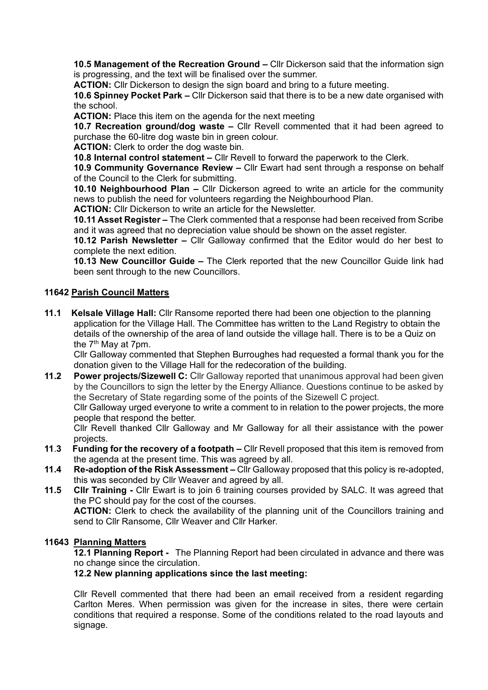**10.5 Management of the Recreation Ground –** Cllr Dickerson said that the information sign is progressing, and the text will be finalised over the summer.

**ACTION:** Cllr Dickerson to design the sign board and bring to a future meeting.

**10.6 Spinney Pocket Park –** Cllr Dickerson said that there is to be a new date organised with the school.

**ACTION:** Place this item on the agenda for the next meeting

**10.7 Recreation ground/dog waste –** Cllr Revell commented that it had been agreed to purchase the 60-litre dog waste bin in green colour.

**ACTION:** Clerk to order the dog waste bin.

**10.8 Internal control statement –** Cllr Revell to forward the paperwork to the Clerk.

**10.9 Community Governance Review –** Cllr Ewart had sent through a response on behalf of the Council to the Clerk for submitting.

**10.10 Neighbourhood Plan –** Cllr Dickerson agreed to write an article for the community news to publish the need for volunteers regarding the Neighbourhood Plan.

**ACTION:** Cllr Dickerson to write an article for the Newsletter.

**10.11 Asset Register –** The Clerk commented that a response had been received from Scribe and it was agreed that no depreciation value should be shown on the asset register.

**10.12 Parish Newsletter –** Cllr Galloway confirmed that the Editor would do her best to complete the next edition.

**10.13 New Councillor Guide –** The Clerk reported that the new Councillor Guide link had been sent through to the new Councillors.

## **11642 Parish Council Matters**

**11.1 Kelsale Village Hall:** Cllr Ransome reported there had been one objection to the planning application for the Village Hall. The Committee has written to the Land Registry to obtain the details of the ownership of the area of land outside the village hall. There is to be a Quiz on the  $7<sup>th</sup>$  May at 7pm.

Cllr Galloway commented that Stephen Burroughes had requested a formal thank you for the donation given to the Village Hall for the redecoration of the building.

**11.2 Power projects/Sizewell C:** Cllr Galloway reported that unanimous approval had been given by the Councillors to sign the letter by the Energy Alliance. Questions continue to be asked by the Secretary of State regarding some of the points of the Sizewell C project.

Cllr Galloway urged everyone to write a comment to in relation to the power projects, the more people that respond the better.

Cllr Revell thanked Cllr Galloway and Mr Galloway for all their assistance with the power projects.

- **11**.**3 Funding for the recovery of a footpath –** Cllr Revell proposed that this item is removed from the agenda at the present time. This was agreed by all.
- **11.4 Re-adoption of the Risk Assessment –** Cllr Galloway proposed that this policy is re-adopted, this was seconded by Cllr Weaver and agreed by all.
- **11.5 Cllr Training -** Cllr Ewart is to join 6 training courses provided by SALC. It was agreed that the PC should pay for the cost of the courses. **ACTION:** Clerk to check the availability of the planning unit of the Councillors training and

send to Cllr Ransome, Cllr Weaver and Cllr Harker.

#### **11643 Planning Matters**

**12.1 Planning Report -** The Planning Report had been circulated in advance and there was no change since the circulation.

## **12.2 New planning applications since the last meeting:**

Cllr Revell commented that there had been an email received from a resident regarding Carlton Meres. When permission was given for the increase in sites, there were certain conditions that required a response. Some of the conditions related to the road layouts and signage.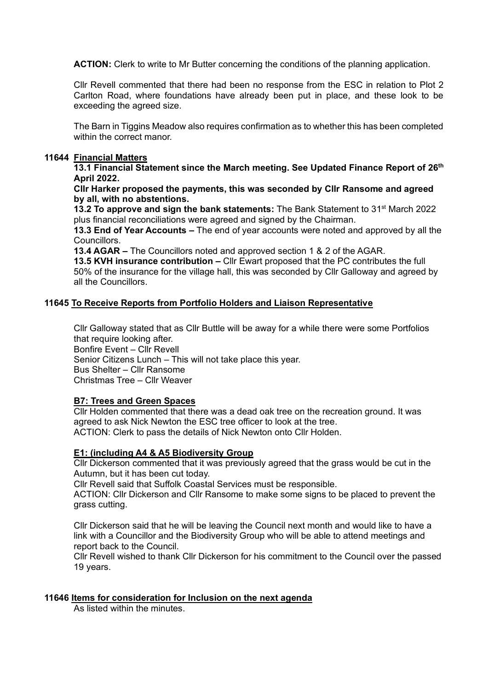**ACTION:** Clerk to write to Mr Butter concerning the conditions of the planning application.

Cllr Revell commented that there had been no response from the ESC in relation to Plot 2 Carlton Road, where foundations have already been put in place, and these look to be exceeding the agreed size.

The Barn in Tiggins Meadow also requires confirmation as to whether this has been completed within the correct manor.

## **11644 Financial Matters**

**13.1 Financial Statement since the March meeting. See Updated Finance Report of 26 th April 2022.**

**Cllr Harker proposed the payments, this was seconded by Cllr Ransome and agreed by all, with no abstentions.** 

**13.2 To approve and sign the bank statements:** The Bank Statement to 31<sup>st</sup> March 2022 plus financial reconciliations were agreed and signed by the Chairman.

**13.3 End of Year Accounts –** The end of year accounts were noted and approved by all the Councillors.

**13.4 AGAR –** The Councillors noted and approved section 1 & 2 of the AGAR.

**13.5 KVH insurance contribution –** Cllr Ewart proposed that the PC contributes the full 50% of the insurance for the village hall, this was seconded by Cllr Galloway and agreed by all the Councillors.

#### **11645 To Receive Reports from Portfolio Holders and Liaison Representative**

Cllr Galloway stated that as Cllr Buttle will be away for a while there were some Portfolios that require looking after.

Bonfire Event – Cllr Revell

Senior Citizens Lunch – This will not take place this year. Bus Shelter – Cllr Ransome

Christmas Tree – Cllr Weaver

## **B7: Trees and Green Spaces**

Cllr Holden commented that there was a dead oak tree on the recreation ground. It was agreed to ask Nick Newton the ESC tree officer to look at the tree. ACTION: Clerk to pass the details of Nick Newton onto Cllr Holden.

#### **E1: (including A4 & A5 Biodiversity Group**

Cllr Dickerson commented that it was previously agreed that the grass would be cut in the Autumn, but it has been cut today.

Cllr Revell said that Suffolk Coastal Services must be responsible.

ACTION: Cllr Dickerson and Cllr Ransome to make some signs to be placed to prevent the grass cutting.

Cllr Dickerson said that he will be leaving the Council next month and would like to have a link with a Councillor and the Biodiversity Group who will be able to attend meetings and report back to the Council.

Cllr Revell wished to thank Cllr Dickerson for his commitment to the Council over the passed 19 years.

#### **11646 Items for consideration for Inclusion on the next agenda**

As listed within the minutes.